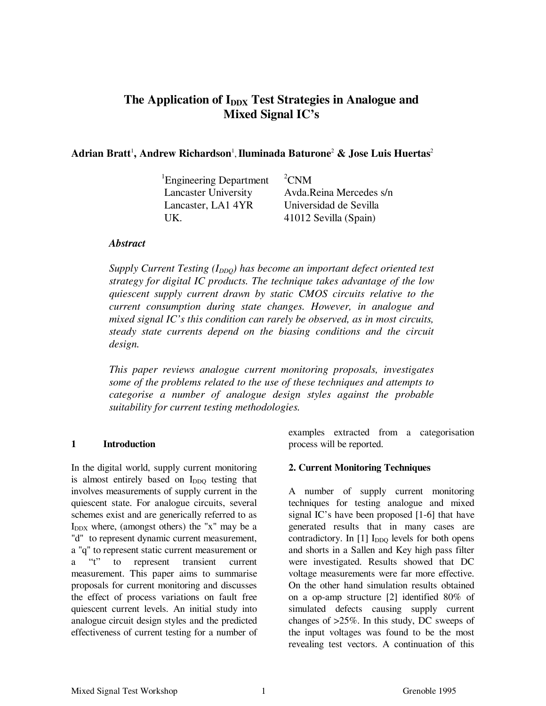# The Application of I<sub>DDX</sub> Test Strategies in Analogue and **Mixed Signal IC's**

# Adrian Bratt<sup>1</sup>, Andrew Richardson<sup>1</sup>, Iluminada Baturone<sup>2</sup> & Jose Luis Huertas<sup>2</sup>

| <sup>1</sup> Engineering Department | ${}^{2}$ CNM            |
|-------------------------------------|-------------------------|
| <b>Lancaster University</b>         | Avda.Reina Mercedes s/n |
| Lancaster, LA1 4YR                  | Universidad de Sevilla  |
| IJK.                                | 41012 Sevilla (Spain)   |

### *Abstract*

*Supply Current Testing (I<sub>DDQ</sub>) has become an important defect oriented test strategy for digital IC products. The technique takes advantage of the low quiescent supply current drawn by static CMOS circuits relative to the current consumption during state changes. However, in analogue and mixed signal IC's this condition can rarely be observed, as in most circuits, steady state currents depend on the biasing conditions and the circuit design.*

*This paper reviews analogue current monitoring proposals, investigates some of the problems related to the use of these techniques and attempts to categorise a number of analogue design styles against the probable suitability for current testing methodologies.*

### **1 Introduction**

In the digital world, supply current monitoring is almost entirely based on I<sub>DDQ</sub> testing that involves measurements of supply current in the quiescent state. For analogue circuits, several schemes exist and are generically referred to as  $I_{\text{DDX}}$  where, (amongst others) the "x" may be a "d" to represent dynamic current measurement, a "q" to represent static current measurement or a "t" to represent transient current measurement. This paper aims to summarise proposals for current monitoring and discusses the effect of process variations on fault free quiescent current levels. An initial study into analogue circuit design styles and the predicted effectiveness of current testing for a number of

examples extracted from a categorisation process will be reported.

### **2. Current Monitoring Techniques**

A number of supply current monitoring techniques for testing analogue and mixed signal IC's have been proposed [1-6] that have generated results that in many cases are contradictory. In  $[1]$  I<sub>DDQ</sub> levels for both opens and shorts in a Sallen and Key high pass filter were investigated. Results showed that DC voltage measurements were far more effective. On the other hand simulation results obtained on a op-amp structure [2] identified 80% of simulated defects causing supply current changes of >25%. In this study, DC sweeps of the input voltages was found to be the most revealing test vectors. A continuation of this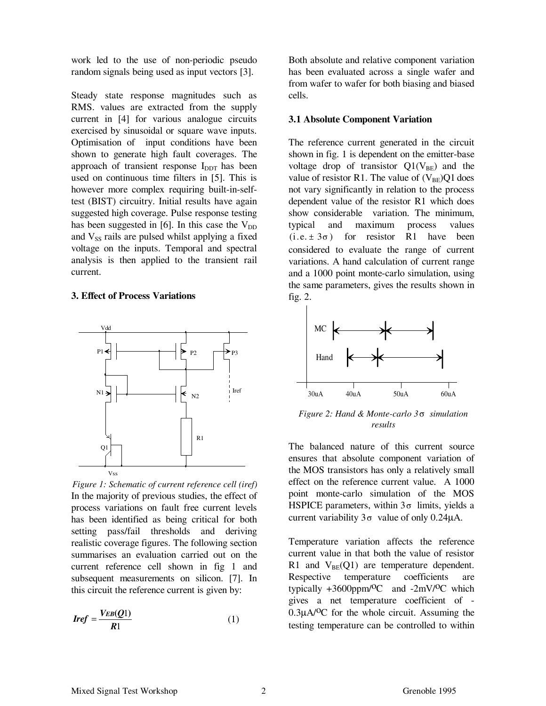work led to the use of non-periodic pseudo random signals being used as input vectors [3].

Steady state response magnitudes such as RMS. values are extracted from the supply current in [4] for various analogue circuits exercised by sinusoidal or square wave inputs. Optimisation of input conditions have been shown to generate high fault coverages. The approach of transient response  $I_{\text{DDT}}$  has been used on continuous time filters in [5]. This is however more complex requiring built-in-selftest (BIST) circuitry. Initial results have again suggested high coverage. Pulse response testing has been suggested in  $[6]$ . In this case the  $V_{DD}$ and  $V_{SS}$  rails are pulsed whilst applying a fixed voltage on the inputs. Temporal and spectral analysis is then applied to the transient rail current.

#### **3. Effect of Process Variations**



In the majority of previous studies, the effect of process variations on fault free current levels has been identified as being critical for both setting pass/fail thresholds and deriving realistic coverage figures. The following section summarises an evaluation carried out on the current reference cell shown in fig 1 and subsequent measurements on silicon. [7]. In this circuit the reference current is given by: *Figure 1: Schematic of current reference cell (iref)*

$$
Iref = \frac{V_{EB}(Q1)}{R1} \tag{1}
$$

Both absolute and relative component variation has been evaluated across a single wafer and from wafer to wafer for both biasing and biased cells.

#### **3.1 Absolute Component Variation**

The reference current generated in the circuit shown in fig. 1 is dependent on the emitter-base voltage drop of transistor  $Q1(V_{BE})$  and the value of resistor R1. The value of  $(V_{BE})Q1$  does not vary significantly in relation to the process dependent value of the resistor R1 which does show considerable variation. The minimum, typical and maximum process values  $(i.e. \pm 3\sigma)$  for resistor R1 have been considered to evaluate the range of current variations. A hand calculation of current range and a 1000 point monte-carlo simulation, using the same parameters, gives the results shown in fig. 2.



*Figure 2: Hand & Monte-carlo 3*σ *simulation results*

The balanced nature of this current source ensures that absolute component variation of the MOS transistors has only a relatively small effect on the reference current value. A 1000 point monte-carlo simulation of the MOS HSPICE parameters, within  $3\sigma$  limits, yields a current variability  $3\sigma$  value of only 0.24μA.

Temperature variation affects the reference current value in that both the value of resistor R1 and  $V_{BE}(Q1)$  are temperature dependent. Respective temperature coefficients are typically  $+3600$ ppm/<sup>O</sup>C and  $-2$ mV/<sup>O</sup>C which gives a net temperature coefficient of -  $0.3\mu A/OC$  for the whole circuit. Assuming the testing temperature can be controlled to within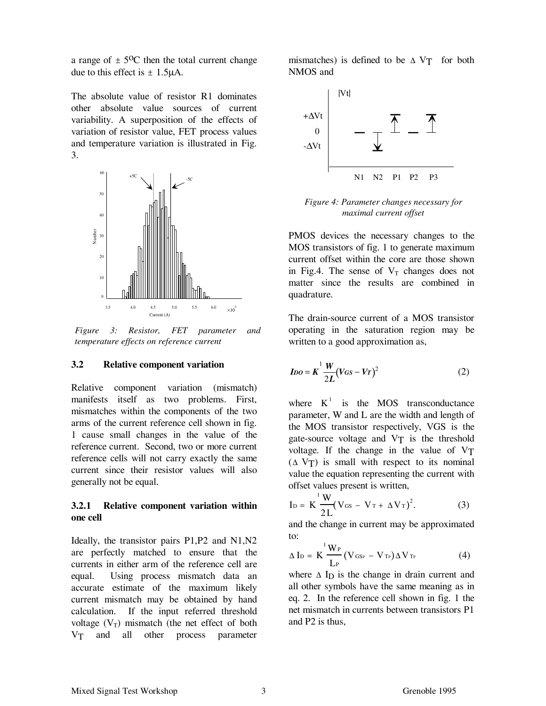a range of  $\pm 5^{\circ}$ C then the total current change due to this effect is  $\pm$  1.5μA.

The absolute value of resistor R1 dominates other absolute value sources of current variability. A superposition of the effects of variation of resistor value, FET process values and temperature variation is illustrated in Fig. 3.



*Figure 3: Resistor, FET parameter and temperature effects on reference current*

#### **3.2 Relative component variation**

Relative component variation (mismatch) manifests itself as two problems. First, mismatches within the components of the two arms of the current reference cell shown in fig. 1 cause small changes in the value of the reference current. Second, two or more current reference cells will not carry exactly the same current since their resistor values will also generally not be equal.

### **3.2.1 Relative component variation within one cell**

Ideally, the transistor pairs P1,P2 and N1,N2 are perfectly matched to ensure that the currents in either arm of the reference cell are equal. Using process mismatch data an accurate estimate of the maximum likely current mismatch may be obtained by hand calculation. If the input referred threshold voltage  $(V_T)$  mismatch (the net effect of both VT and all other process parameter

mismatches) is defined to be  $\triangle V$ T for both NMOS and



*Figure 4: Parameter changes necessary for maximal current offset*

PMOS devices the necessary changes to the MOS transistors of fig. 1 to generate maximum current offset within the core are those shown in Fig.4. The sense of  $V_T$  changes does not matter since the results are combined in quadrature.

The drain-source current of a MOS transistor operating in the saturation region may be written to a good approximation as,

$$
I_{DO} = K \frac{1}{2L} \frac{W}{(V_{GS} - V_T)^2}
$$
 (2)

where  $K^1$  is the MOS transconductance parameter, W and L are the width and length of the MOS transistor respectively, VGS is the gate-source voltage and VT is the threshold voltage. If the change in the value of VT  $(Δ V<sub>T</sub>)$  is small with respect to its nominal value the equation representing the current with offset values present is written,

$$
I_D = K \frac{^{1} W}{2 L} (V_{GS} - V_T + \Delta V_T)^{2}.
$$
 (3)

and the change in current may be approximated to:

$$
\Delta I_D = K \frac{^1 W_P}{L_P} (V_{\text{GSP}} - V_{\text{Tr}}) \Delta V_{\text{Tr}}
$$
 (4)

where  $\Delta$  I<sub>D</sub> is the change in drain current and all other symbols have the same meaning as in eq. 2. In the reference cell shown in fig. 1 the net mismatch in currents between transistors P1 and P2 is thus,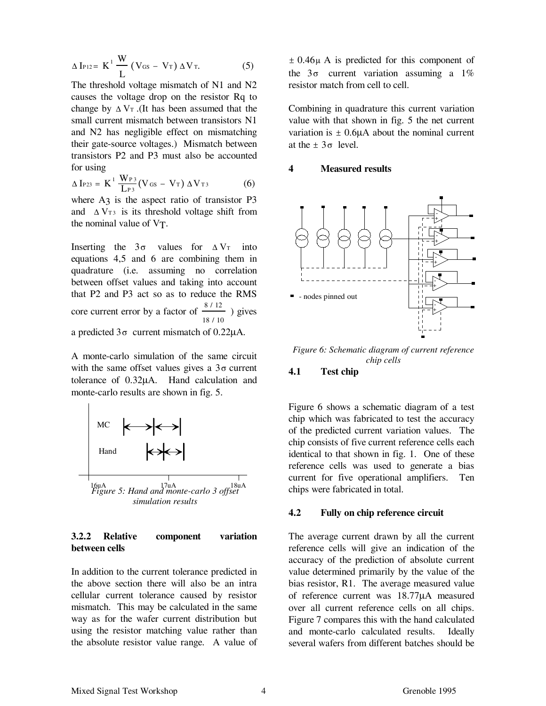$$
\Delta I_{P12} = K^1 \frac{W}{L} (V_{GS} - V_T) \Delta V_T.
$$
 (5)

The threshold voltage mismatch of N1 and N2 causes the voltage drop on the resistor Rq to change by  $\Delta V_T$ . (It has been assumed that the small current mismatch between transistors N1 and N2 has negligible effect on mismatching their gate-source voltages.) Mismatch between transistors P2 and P3 must also be accounted for using

$$
\Delta I_{P23} = K^{1} \frac{W_{P3}}{L_{P3}} (V_{GS} - V_{T}) \Delta V_{T3}
$$
 (6)

where  $A_3$  is the aspect ratio of transistor P3 and  $\Delta V_{\text{T3}}$  is its threshold voltage shift from the nominal value of VT.

Inserting the  $3\sigma$  values for  $\Delta V_T$  into equations 4,5 and 6 are combining them in quadrature (i.e. assuming no correlation between offset values and taking into account that P2 and P3 act so as to reduce the RMS core current error by a factor of  $\frac{8/12}{ }$ 18 / 10 ) gives a predicted  $3\sigma$  current mismatch of 0.22 $\mu$ A.

A monte-carlo simulation of the same circuit with the same offset values gives a  $3\sigma$  current tolerance of 0.32μA. Hand calculation and monte-carlo results are shown in fig. 5.



#### **3.2.2 Relative component variation between cells**

In addition to the current tolerance predicted in the above section there will also be an intra cellular current tolerance caused by resistor mismatch. This may be calculated in the same way as for the wafer current distribution but using the resistor matching value rather than the absolute resistor value range. A value of

± 0.46μ A is predicted for this component of the  $3\sigma$  current variation assuming a  $1\%$ resistor match from cell to cell.

Combining in quadrature this current variation value with that shown in fig. 5 the net current variation is  $\pm$  0.6μA about the nominal current at the  $\pm$  3 $\sigma$  level.

#### **4 Measured results**



*Figure 6: Schematic diagram of current reference chip cells*

#### **4.1 Test chip**

Figure 6 shows a schematic diagram of a test chip which was fabricated to test the accuracy of the predicted current variation values. The chip consists of five current reference cells each identical to that shown in fig. 1. One of these reference cells was used to generate a bias current for five operational amplifiers. Ten chips were fabricated in total.

#### **4.2 Fully on chip reference circuit**

The average current drawn by all the current reference cells will give an indication of the accuracy of the prediction of absolute current value determined primarily by the value of the bias resistor, R1. The average measured value of reference current was 18.77μA measured over all current reference cells on all chips. Figure 7 compares this with the hand calculated and monte-carlo calculated results. Ideally several wafers from different batches should be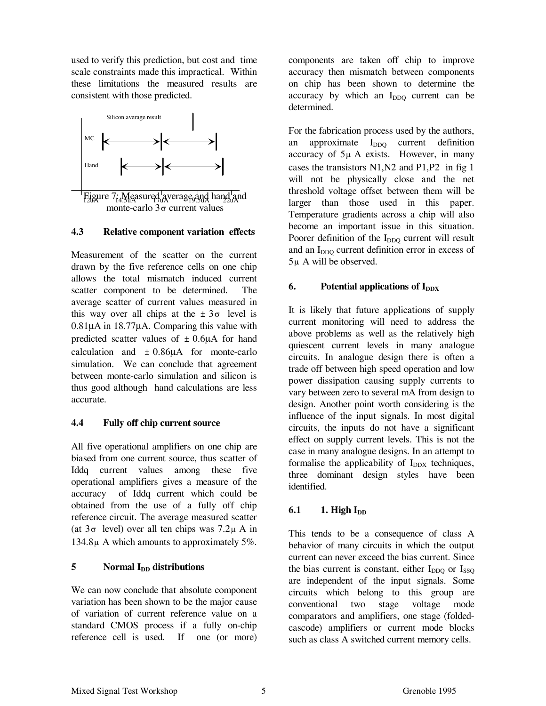used to verify this prediction, but cost and time scale constraints made this impractical. Within these limitations the measured results are consistent with those predicted.



Figure 7: Measured average and hand and monte-carlo  $3\sigma$  current values

### **4.3 Relative component variation effects**

Measurement of the scatter on the current drawn by the five reference cells on one chip allows the total mismatch induced current scatter component to be determined. The average scatter of current values measured in this way over all chips at the  $\pm 3\sigma$  level is 0.81μA in 18.77μA. Comparing this value with predicted scatter values of  $\pm$  0.6μA for hand calculation and  $\pm 0.86\mu A$  for monte-carlo simulation. We can conclude that agreement between monte-carlo simulation and silicon is thus good although hand calculations are less accurate.

# **4.4 Fully off chip current source**

All five operational amplifiers on one chip are biased from one current source, thus scatter of Iddq current values among these five operational amplifiers gives a measure of the accuracy of Iddq current which could be obtained from the use of a fully off chip reference circuit. The average measured scatter (at  $3\sigma$  level) over all ten chips was  $7.2\mu$  A in 134.8μ A which amounts to approximately 5%.

# **5** Normal I<sub>DD</sub> distributions

We can now conclude that absolute component variation has been shown to be the major cause of variation of current reference value on a standard CMOS process if a fully on-chip reference cell is used. If one (or more)

components are taken off chip to improve accuracy then mismatch between components on chip has been shown to determine the accuracy by which an  $I_{DDO}$  current can be determined.

For the fabrication process used by the authors, an approximate I<sub>DDQ</sub> current definition accuracy of  $5\mu$  A exists. However, in many cases the transistors N1,N2 and P1,P2 in fig 1 will not be physically close and the net threshold voltage offset between them will be larger than those used in this paper. Temperature gradients across a chip will also become an important issue in this situation. Poorer definition of the  $I_{DDQ}$  current will result and an I<sub>DDQ</sub> current definition error in excess of 5μ A will be observed.

# **6.** Potential applications of I<sub>DDX</sub>

It is likely that future applications of supply current monitoring will need to address the above problems as well as the relatively high quiescent current levels in many analogue circuits. In analogue design there is often a trade off between high speed operation and low power dissipation causing supply currents to vary between zero to several mA from design to design. Another point worth considering is the influence of the input signals. In most digital circuits, the inputs do not have a significant effect on supply current levels. This is not the case in many analogue designs. In an attempt to formalise the applicability of  $I_{\text{DDX}}$  techniques, three dominant design styles have been identified.

# **6.1 1. High I**<sub>DD</sub>

This tends to be a consequence of class A behavior of many circuits in which the output current can never exceed the bias current. Since the bias current is constant, either  $I_{DDO}$  or  $I_{SSO}$ are independent of the input signals. Some circuits which belong to this group are conventional two stage voltage mode comparators and amplifiers, one stage (foldedcascode) amplifiers or current mode blocks such as class A switched current memory cells.